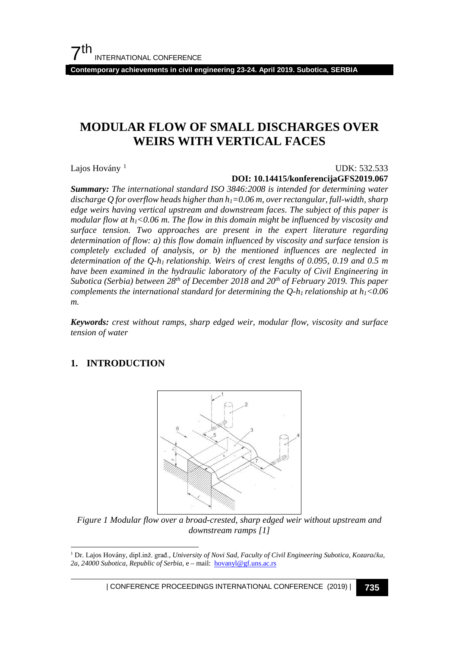**Contemporary achievements in civil engineering 23-24. April 2019. Subotica, SERBIA**

# **MODULAR FLOW OF SMALL DISCHARGES OVER WEIRS WITH VERTICAL FACES**

Lajos Hovány<sup>[1](#page-0-0)</sup>

#### UDK: 532.533

**DOI: 10.14415/konferencijaGFS2019.067**

*Summary: The international standard ISO 3846:2008 is intended for determining water discharge Q for overflow heads higher than h1=0.06 m, over rectangular, full-width, sharp edge weirs having vertical upstream and downstream faces. The subject of this paper is modular flow at h1<0.06 m. The flow in this domain might be influenced by viscosity and surface tension. Two approaches are present in the expert literature regarding determination of flow: a) this flow domain influenced by viscosity and surface tension is completely excluded of analysis, or b) the mentioned influences are neglected in determination of the Q-h1 relationship. Weirs of crest lengths of 0.095, 0.19 and 0.5 m have been examined in the hydraulic laboratory of the Faculty of Civil Engineering in Subotica (Serbia) between 28th of December 2018 and 20th of February 2019. This paper complements the international standard for determining the*  $Q-h_1$  *relationship at*  $h_1$  *< 0.06 m.*

*Keywords: crest without ramps, sharp edged weir, modular flow, viscosity and surface tension of water*

# **1. INTRODUCTION**



*Figure 1 Modular flow over a broad-crested, sharp edged weir without upstream and downstream ramps [1]*

<span id="page-0-0"></span> 1 Dr. Lajos Hovány, dipl.inž. građ., *University of Novi Sad, Faculty of Civil Engineering Subotica, Kozaračka, 2a, 24000 Subotica, Republic of Serbia*, e – mail: [hovanyl@gf.uns.ac.rs](mailto:hovanyl@gf.uns.ac.rs)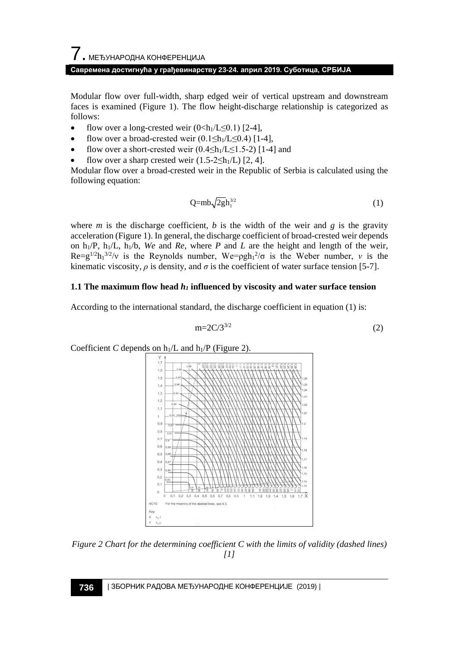Modular flow over full-width, sharp edged weir of vertical upstream and downstream faces is examined (Figure 1). The flow height-discharge relationship is categorized as follows:

- flow over a long-crested weir  $(0 \le h_1/L \le 0.1)$  [2-4],
- flow over a broad-crested weir  $(0.1 \leq h_1/L \leq 0.4)$  [1-4],
- flow over a short-crested weir  $(0.4 \leq h_1/L \leq 1.5-2)$  [1-4] and
- flow over a sharp crested weir  $(1.5-2 \leq h_1/L)$  [2, 4].

Modular flow over a broad-crested weir in the Republic of Serbia is calculated using the following equation:

$$
Q=mb\sqrt{2gh_1^{3/2}}
$$
 (1)

where *m* is the discharge coefficient, *b* is the width of the weir and *g* is the gravity acceleration (Figure 1). In general, the discharge coefficient of broad-crested weir depends on  $h_1/P$ ,  $h_1/L$ ,  $h_1/b$ , *We* and *Re*, where *P* and *L* are the height and length of the weir,  $\text{Re}=g^{1/2}h_1^{3/2}/v$  is the Reynolds number,  $\text{We}=pgh_1^{2}/\sigma$  is the Weber number, *v* is the kinematic viscosity,  $\rho$  is density, and  $\sigma$  is the coefficient of water surface tension [5-7].

### **1.1 The maximum flow head** *h1* **influenced by viscosity and water surface tension**

According to the international standard, the discharge coefficient in equation (1) is:

$$
m=2C/3^{3/2} \tag{2}
$$



*Figure 2 Chart for the determining coefficient C with the limits of validity (dashed lines) [1]*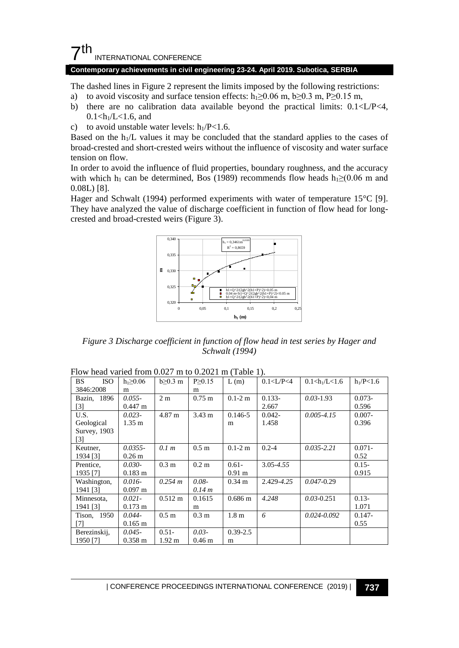## $7th$ INTERNATIONAL CONFERENCE

#### **Contemporary achievements in civil engineering 23-24. April 2019. Subotica, SERBIA**

The dashed lines in Figure 2 represent the limits imposed by the following restrictions:

- a) to avoid viscosity and surface tension effects:  $h_1 \ge 0.06$  m,  $b \ge 0.3$  m,  $P \ge 0.15$  m,
- b) there are no calibration data available beyond the practical limits: 0.1<L/P<4,  $0.1 < h_1/L < 1.6$ , and
- c) to avoid unstable water levels:  $h_1/P < 1.6$ .

Based on the  $h_1/L$  values it may be concluded that the standard applies to the cases of broad-crested and short-crested weirs without the influence of viscosity and water surface tension on flow.

In order to avoid the influence of fluid properties, boundary roughness, and the accuracy with which h<sub>1</sub> can be determined, Bos (1989) recommends flow heads h<sub>1</sub>≥(0.06 m and 0.08L) [8].

Hager and Schwalt (1994) performed experiments with water of temperature 15°C [9]. They have analyzed the value of discharge coefficient in function of flow head for longcrested and broad-crested weirs (Figure 3).



*Figure 3 Discharge coefficient in function of flow head in test series by Hager and Schwalt (1994)*

| <b>BS</b><br><b>ISO</b> | $h_1 \geq 0.06$       | $b \geq 0.3$ m    | $P \ge 0.15$      | L(m)              | 0.1 < L/P < 4 | $0.1 < h_1/L < 1.6$ | $h_1/P < 1.6$ |
|-------------------------|-----------------------|-------------------|-------------------|-------------------|---------------|---------------------|---------------|
| 3846:2008               | m                     |                   | m                 |                   |               |                     |               |
| Bazin, 1896             | $0.055 -$             | 2 <sub>m</sub>    | $0.75 \text{ m}$  | $0.1 - 2m$        | $0.133 -$     | $0.03 - 1.93$       | $0.073 -$     |
| $[3]$                   | $0.447 \text{ m}$     |                   |                   |                   | 2.667         |                     | 0.596         |
| U.S.                    | $0.023 -$             | 4.87 m            | $3.43 \text{ m}$  | $0.146 - 5$       | $0.042 -$     | $0.005 - 4.15$      | $0.007 -$     |
| Geological              | $1.35 \text{ m}$      |                   |                   | m                 | 1.458         |                     | 0.396         |
| Survey, 1903            |                       |                   |                   |                   |               |                     |               |
| [3]                     |                       |                   |                   |                   |               |                     |               |
| Keutner,                | $0.0355 -$            | 0.1 m             | 0.5 m             | $0.1 - 2m$        | $0.2 - 4$     | $0.035 - 2.21$      | $0.071 -$     |
| 1934 [3]                | 0.26 <sub>m</sub>     |                   |                   |                   |               |                     | 0.52          |
| Prentice,               | $0.030 -$             | 0.3 <sub>m</sub>  | $0.2 \text{ m}$   | $0.61 -$          | 3.05-4.55     |                     | $0.15 -$      |
| 1935 [7]                | $0.183 \; \mathrm{m}$ |                   |                   | $0.91 \text{ m}$  |               |                     | 0.915         |
| Washington,             | $0.016-$              | 0.254 m           | $0.08 -$          | $0.34 \text{ m}$  | 2.429-4.25    | $0.047 - 0.29$      |               |
| 1941 [3]                | $0.097 \;{\rm m}$     |                   | 0.14 m            |                   |               |                     |               |
| Minnesota,              | $0.021 -$             | $0.512 \text{ m}$ | 0.1615            | $0.686 \text{ m}$ | 4.248         | $0.03 - 0.251$      | $0.13 -$      |
| 1941 [3]                | $0.173 \; \mathrm{m}$ |                   | m                 |                   |               |                     | 1.071         |
| 1950<br>Tison,          | $0.044 -$             | 0.5 m             | 0.3 <sub>m</sub>  | 1.8 <sub>m</sub>  | 6             | $0.024 - 0.092$     | $0.147 -$     |
| 71                      | $0.165 \; \mathrm{m}$ |                   |                   |                   |               |                     | 0.55          |
| Berezinskij,            | $0.045 -$             | $0.51 -$          | $0.03 -$          | $0.39 - 2.5$      |               |                     |               |
| 1950 [7]                | $0.358 \; \mathrm{m}$ | $1.92 \text{ m}$  | 0.46 <sub>m</sub> | m                 |               |                     |               |

| Flow head varied from 0.027 m to 0.2021 m (Table 1). |  |  |  |
|------------------------------------------------------|--|--|--|
|------------------------------------------------------|--|--|--|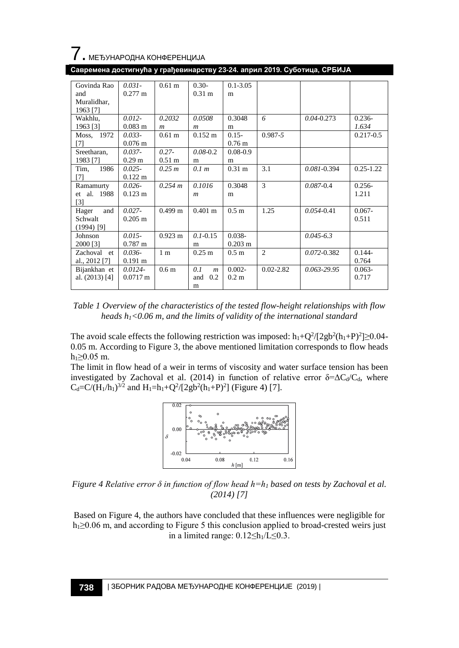

| Govinda Rao       | $0.031 -$             | 0.61 <sub>m</sub> | $0.30-$                 | $0.1 - 3.05$          |                |                 |               |
|-------------------|-----------------------|-------------------|-------------------------|-----------------------|----------------|-----------------|---------------|
| and               | $0.277 \text{ m}$     |                   | 0.31 <sub>m</sub>       | m                     |                |                 |               |
| Muralidhar,       |                       |                   |                         |                       |                |                 |               |
| 1963 [7]          |                       |                   |                         |                       |                |                 |               |
| Wakhlu,           | $0.012 -$             | 0.2032            | 0.0508                  | 0.3048                | 6              | $0.04 - 0.273$  | $0.236 -$     |
| 1963 [3]          | $0.083 \; \mathrm{m}$ | $\boldsymbol{m}$  | $\boldsymbol{m}$        | m                     |                |                 | 1.634         |
| Moss, 1972        | $0.033 -$             | 0.61 <sub>m</sub> | $0.152 \;{\rm m}$       | $0.15 -$              | $0.987 - 5$    |                 | $0.217 - 0.5$ |
| [7]               | $0.076 \text{ m}$     |                   |                         | 0.76 <sub>m</sub>     |                |                 |               |
| Sreetharan,       | $0.037 -$             | $0.27 -$          | $0.08 - 0.2$            | $0.08 - 0.9$          |                |                 |               |
| 1983 [7]          | 0.29 <sub>m</sub>     | 0.51 <sub>m</sub> | m                       | m                     |                |                 |               |
| Tim.<br>1986      | $0.025 -$             | 0.25 m            | 0.1 m                   | 0.31 <sub>m</sub>     | 3.1            | $0.081 - 0.394$ | $0.25 - 1.22$ |
| [7]               | $0.122 \text{ m}$     |                   |                         |                       |                |                 |               |
| Ramamurty         | $0.026 -$             | 0.254 m           | 0.1016                  | 0.3048                | 3              | $0.087 - 0.4$   | $0.256-$      |
| et al. 1988       | $0.123 \text{ m}$     |                   | $\boldsymbol{m}$        | m                     |                |                 | 1.211         |
| $\lceil 3 \rceil$ |                       |                   |                         |                       |                |                 |               |
| and<br>Hager      | $0.027 -$             | $0.499$ m         | $0.401 \; \mathrm{m}$   | 0.5 <sub>m</sub>      | 1.25           | $0.054 - 0.41$  | $0.067 -$     |
| Schwalt           | $0.205$ m             |                   |                         |                       |                |                 | 0.511         |
| $(1994)$ [9]      |                       |                   |                         |                       |                |                 |               |
| Johnson           | $0.015 -$             | $0.923 \text{ m}$ | $0.1 - 0.15$            | $0.038 -$             |                | $0.045 - 6.3$   |               |
| 2000 [3]          | $0.787 \text{ m}$     |                   | m                       | $0.203 \; \mathrm{m}$ |                |                 |               |
| Zachoval<br>et    | $0.036-$              | 1 <sub>m</sub>    | $0.25 \; \mathrm{m}$    | 0.5 <sub>m</sub>      | $\overline{c}$ | $0.072 - 0.382$ | $0.144 -$     |
| al., 2012 [7]     | $0.191 \text{ m}$     |                   |                         |                       |                |                 | 0.764         |
| Bijankhan et      | $0.0124 -$            | 0.6 <sub>m</sub>  | 0.1<br>$\boldsymbol{m}$ | $0.002 -$             | $0.02 - 2.82$  | $0.063 - 29.95$ | $0.063 -$     |
| al. (2013) [4]    | $0.0717 \text{ m}$    |                   | 0.2<br>and              | $0.2 \text{ m}$       |                |                 | 0.717         |
|                   |                       |                   | m                       |                       |                |                 |               |

**Савремена достигнућа у грађевинарству 23-24. април 2019. Суботица, СРБИЈА**



The avoid scale effects the following restriction was imposed:  $h_1 + Q^2/(2gb^2(h_1+P)^2) \ge 0.04$ 0.05 m. According to Figure 3, the above mentioned limitation corresponds to flow heads h<sub>1</sub>≥0.05 m.

The limit in flow head of a weir in terms of viscosity and water surface tension has been investigated by Zachoval et al. (2014) in function of relative error  $\delta = \Delta C_d/C_d$ , where  $C_d = C/(H_1/h_1)^{3/2}$  and  $H_1 = h_1 + Q^2/[2gb^2(h_1+P)^2]$  (Figure 4) [7].



*Figure 4 Relative error δ in function of flow head h=h<sup>1</sup> based on tests by Zachoval et al. (2014) [7]*

Based on Figure 4, the authors have concluded that these influences were negligible for  $h_1 \geq 0.06$  m, and according to Figure 5 this conclusion applied to broad-crested weirs just in a limited range:  $0.12 \leq h_1/L \leq 0.3$ .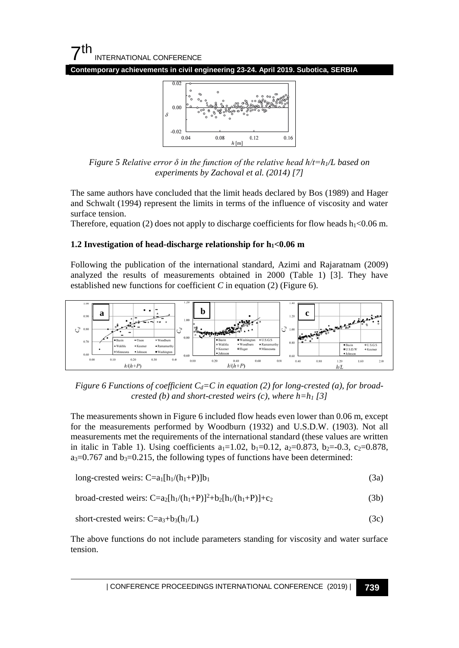**Contemporary achievements in civil engineering 23-24. April 2019. Subotica, SERBIA**



*Figure 5 Relative error δ in the function of the relative head h/t=h1/L based on experiments by Zachoval et al. (2014) [7]*

The same authors have concluded that the limit heads declared by Bos (1989) and Hager and Schwalt (1994) represent the limits in terms of the influence of viscosity and water surface tension.

Therefore, equation (2) does not apply to discharge coefficients for flow heads  $h_1 < 0.06$  m.

#### **1.2 Investigation of head-discharge relationship for h1<0.06 m**

Following the publication of the international standard, Azimi and Rajaratnam (2009) analyzed the results of measurements obtained in 2000 (Table 1) [3]. They have established new functions for coefficient *C* in equation (2) (Figure 6).



*Figure 6 Functions of coefficient*  $C_d = C$  *in equation (2) for long-crested (a), for broadcrested (b) and short-crested weirs (c), where h=h1 [3]*

The measurements shown in Figure 6 included flow heads even lower than 0.06 m, except for the measurements performed by Woodburn (1932) and U.S.D.W. (1903). Not all measurements met the requirements of the international standard (these values are written in italic in Table 1). Using coefficients  $a_1=1.02$ ,  $b_1=0.12$ ,  $a_2=0.873$ ,  $b_2=0.3$ ,  $c_2=0.878$ ,  $a_3=0.767$  and  $b_3=0.215$ , the following types of functions have been determined:

long-crested weirs: 
$$
C=a_1[h_1/(h_1+P)]b_1
$$
 (3a)

$$
broad-crested weirs: C=a_2[h_1/(h_1+P)]^2+b_2[h_1/(h_1+P)]+c_2
$$
\n(3b)

$$
short-crested weirs: C=a_3+b_3(h_1/L) \tag{3c}
$$

The above functions do not include parameters standing for viscosity and water surface tension.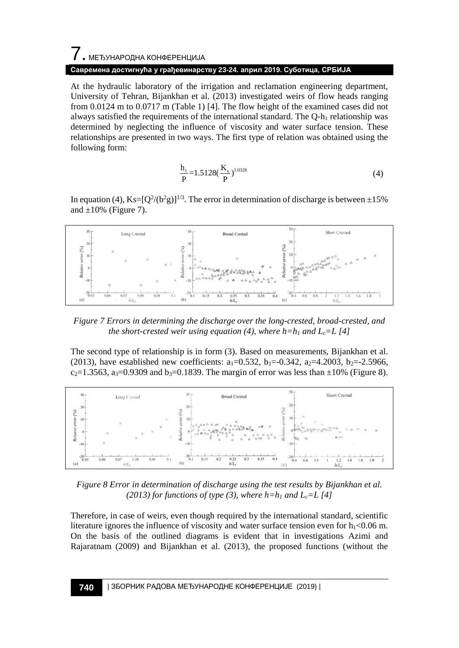# 7. МЕЂУНАРОДНА КОНФЕРЕНЦИЈА **Савремена достигнућа у грађевинарству 23-24. април 2019. Суботица, СРБИЈА**

At the hydraulic laboratory of the irrigation and reclamation engineering department, University of Tehran, Bijankhan et al. (2013) investigated weirs of flow heads ranging from 0.0124 m to 0.0717 m (Table 1) [4]. The flow height of the examined cases did not always satisfied the requirements of the international standard. The  $O-h_1$  relationship was determined by neglecting the influence of viscosity and water surface tension. These relationships are presented in two ways. The first type of relation was obtained using the following form:

$$
\frac{h_1}{P} = 1.5128 \left(\frac{K_s}{P}\right)^{1.0328}
$$
 (4)

In equation (4),  $Ks=[Q^2/(b^2g)]^{1/3}$ . The error in determination of discharge is between  $\pm 15\%$ and  $\pm 10\%$  (Figure 7).



*Figure 7 Errors in determining the discharge over the long-crested, broad-crested, and the short-crested weir using equation (4), where*  $h=h_1$  *and*  $L_c=L$  *[4]* 

The second type of relationship is in form (3). Based on measurements, Bijankhan et al. (2013), have established new coefficients:  $a_1=0.532$ ,  $b_1=-0.342$ ,  $a_2=4.2003$ ,  $b_2=-2.5966$ ,  $c_2=1.3563$ , a<sub>3</sub>=0.9309 and b<sub>3</sub>=0.1839. The margin of error was less than  $\pm 10\%$  (Figure 8).



*Figure 8 Error in determination of discharge using the test results by Bijankhan et al. (2013) for functions of type (3), where h=h<sub>1</sub> and L<sub>c</sub>=L [4]* 

Therefore, in case of weirs, even though required by the international standard, scientific literature ignores the influence of viscosity and water surface tension even for  $h_1 < 0.06$  m. On the basis of the outlined diagrams is evident that in investigations Azimi and Rajaratnam (2009) and Bijankhan et al. (2013), the proposed functions (without the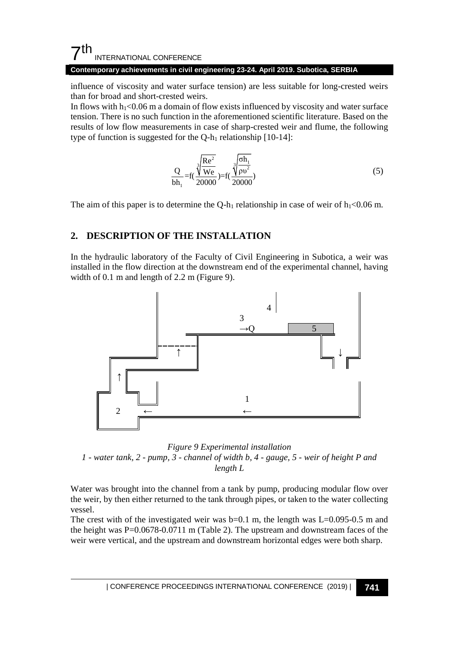#### **Contemporary achievements in civil engineering 23-24. April 2019. Subotica, SERBIA**

influence of viscosity and water surface tension) are less suitable for long-crested weirs than for broad and short-crested weirs.

In flows with  $h_1$ <0.06 m a domain of flow exists influenced by viscosity and water surface tension. There is no such function in the aforementioned scientific literature. Based on the results of low flow measurements in case of sharp-crested weir and flume, the following type of function is suggested for the  $Q-h_1$  relationship [10-14]:

$$
\frac{Q}{bh_1} = f(\frac{\sqrt[3]{\frac{Re^2}{We}}}{20000}) = f(\frac{\sqrt[3]{\frac{oh_1}{\rho v^2}}}{20000})
$$
\n(5)

The aim of this paper is to determine the Q-h<sub>1</sub> relationship in case of weir of  $h_1 < 0.06$  m.

### **2. DESCRIPTION OF THE INSTALLATION**

In the hydraulic laboratory of the Faculty of Civil Engineering in Subotica, a weir was installed in the flow direction at the downstream end of the experimental channel, having width of 0.1 m and length of 2.2 m (Figure 9).



*Figure 9 Experimental installation 1 - water tank, 2 - pump, 3 - channel of width b, 4 - gauge, 5 - weir of height P and length L*

Water was brought into the channel from a tank by pump, producing modular flow over the weir, by then either returned to the tank through pipes, or taken to the water collecting vessel.

The crest with of the investigated weir was  $b=0.1$  m, the length was  $L=0.095-0.5$  m and the height was P=0.0678-0.0711 m (Table 2). The upstream and downstream faces of the weir were vertical, and the upstream and downstream horizontal edges were both sharp.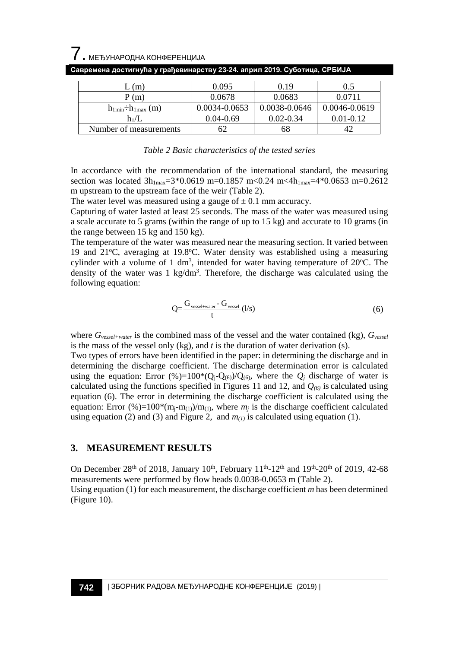| (m)                          | 0.095         | 0.19          | 0.5           |
|------------------------------|---------------|---------------|---------------|
| P(m)                         | 0.0678        | 0.0683        | 0.0711        |
| $h_{1min} \div h_{1max}$ (m) | 0.0034-0.0653 | 0.0038-0.0646 | 0.0046-0.0619 |
| $h_1/L$                      | $0.04 - 0.69$ | $0.02 - 0.34$ | $0.01 - 0.12$ |
| Number of measurements       |               | 68            |               |

**Савремена достигнућа у грађевинарству 23-24. април 2019. Суботица, СРБИЈА**

#### *Table 2 Basic characteristics of the tested series*

In accordance with the recommendation of the international standard, the measuring section was located  $3h_{1max}=3*0.0619$  m=0.1857 m<0.24 m<4 $h_{1max}=4*0.0653$  m=0.2612 m upstream to the upstream face of the weir (Table 2).

The water level was measured using a gauge of  $\pm$  0.1 mm accuracy.

Capturing of water lasted at least 25 seconds. The mass of the water was measured using a scale accurate to 5 grams (within the range of up to 15 kg) and accurate to 10 grams (in the range between 15 kg and 150 kg).

The temperature of the water was measured near the measuring section. It varied between 19 and 21°C, averaging at 19.8°C. Water density was established using a measuring cylinder with a volume of 1  $dm^3$ , intended for water having temperature of 20°C. The density of the water was 1 kg/dm<sup>3</sup>. Therefore, the discharge was calculated using the following equation:

$$
Q = \frac{G_{\text{vessel + water}} - G_{\text{vessel}}}{t} (l/s)
$$
 (6)

where *Gvessel+water* is the combined mass of the vessel and the water contained (kg), *Gvessel* is the mass of the vessel only (kg), and *t* is the duration of water derivation (s).

Two types of errors have been identified in the paper: in determining the discharge and in determining the discharge coefficient. The discharge determination error is calculated using the equation: Error  $(\%)=100*(Q_i-Q_{(6)})/Q_{(6)}$ , where the  $Q_i$  discharge of water is calculated using the functions specified in Figures 11 and 12, and *Q(6)* is calculated using equation (6). The error in determining the discharge coefficient is calculated using the equation: Error (%)=100\*(m<sub>i</sub>-m<sub>(1)</sub>)/m<sub>(1)</sub>, where  $m_i$  is the discharge coefficient calculated using equation (2) and (3) and Figure 2, and  $m_{(1)}$  is calculated using equation (1).

### **3. MEASUREMENT RESULTS**

On December 28<sup>th</sup> of 2018, January 10<sup>th</sup>, February 11<sup>th</sup>-12<sup>th</sup> and 19<sup>th</sup>-20<sup>th</sup> of 2019, 42-68 measurements were performed by flow heads 0.0038-0.0653 m (Table 2). Using equation (1) for each measurement, the discharge coefficient *m* has been determined (Figure 10).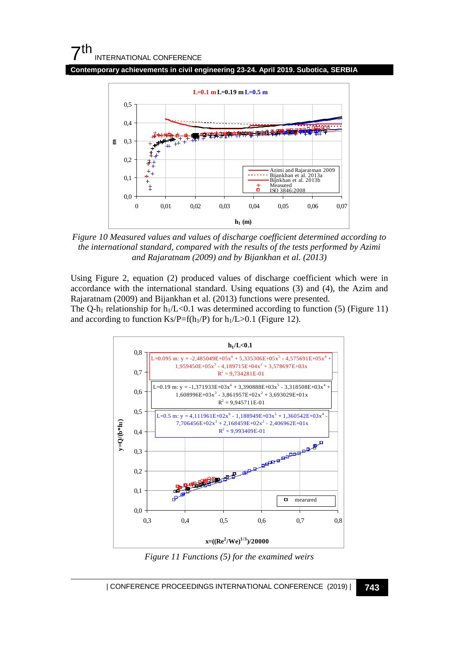**Contemporary achievements in civil engineering 23-24. April 2019. Subotica, SERBIA**



*Figure 10 Measured values and values of discharge coefficient determined according to the international standard, compared with the results of the tests performed by Azimi and Rajaratnam (2009) and by Bijankhan et al. (2013)*

Using Figure 2, equation (2) produced values of discharge coefficient which were in accordance with the international standard. Using equations (3) and (4), the Azim and Rajaratnam (2009) and Bijankhan et al. (2013) functions were presented. The Q-h<sub>1</sub> relationship for  $h_1/L < 0.1$  was determined according to function (5) (Figure 11) and according to function Ks/P=f(h<sub>1</sub>/P) for  $h_1/L > 0.1$  (Figure 12).



*Figure 11 Functions (5) for the examined weirs*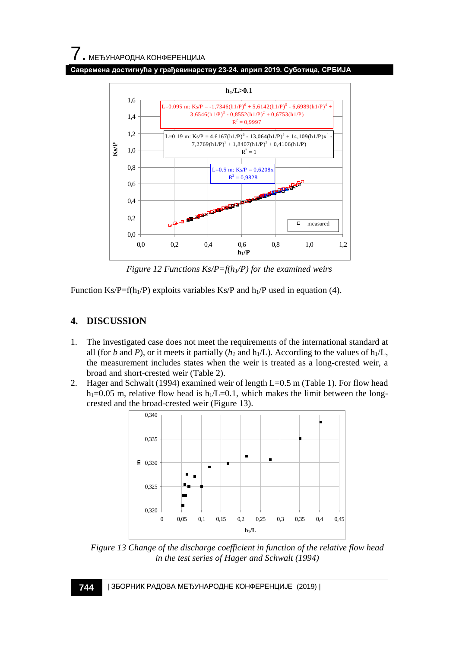

*Figure 12 Functions Ks/P=f(h1/P) for the examined weirs*

Function Ks/P=f(h<sub>1</sub>/P) exploits variables Ks/P and h<sub>1</sub>/P used in equation (4).

# **4. DISCUSSION**

- 1. The investigated case does not meet the requirements of the international standard at all (for *b* and *P*), or it meets it partially ( $h_1$  and  $h_1/L$ ). According to the values of  $h_1/L$ , the measurement includes states when the weir is treated as a long-crested weir, a broad and short-crested weir (Table 2).
- 2. Hager and Schwalt (1994) examined weir of length L=0.5 m (Table 1). For flow head h<sub>1</sub>=0.05 m, relative flow head is h<sub>1</sub>/L=0.1, which makes the limit between the longcrested and the broad-crested weir (Figure 13).



*Figure 13 Change of the discharge coefficient in function of the relative flow head in the test series of Hager and Schwalt (1994)*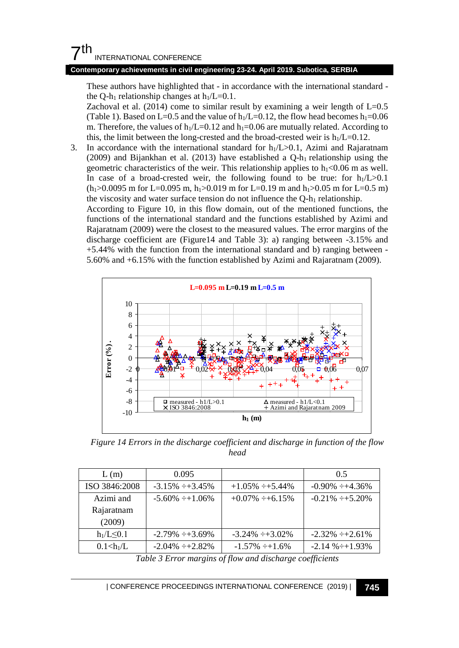### **Contemporary achievements in civil engineering 23-24. April 2019. Subotica, SERBIA**

These authors have highlighted that - in accordance with the international standard the Q-h<sub>1</sub> relationship changes at  $h_1/L=0.1$ .

Zachoval et al.  $(2014)$  come to similar result by examining a weir length of  $L=0.5$ (Table 1). Based on L=0.5 and the value of  $h_1/L=0.12$ , the flow head becomes  $h_1=0.06$ m. Therefore, the values of  $h_1/L=0.12$  and  $h_1=0.06$  are mutually related. According to this, the limit between the long-crested and the broad-crested weir is  $h_1/L=0.12$ .

3. In accordance with the international standard for  $h_1/L > 0.1$ , Azimi and Rajaratnam (2009) and Bijankhan et al. (2013) have established a  $Q-h_1$  relationship using the geometric characteristics of the weir. This relationship applies to  $h_1 < 0.06$  m as well. In case of a broad-crested weir, the following found to be true: for  $h_1/L > 0.1$  $(h<sub>1</sub>>0.0095$  m for L=0.095 m, h<sub>1</sub> $>0.019$  m for L=0.19 m and h<sub>1</sub> $>0.05$  m for L=0.5 m) the viscosity and water surface tension do not influence the  $Q-h_1$  relationship.

According to Figure 10, in this flow domain, out of the mentioned functions, the functions of the international standard and the functions established by Azimi and Rajaratnam (2009) were the closest to the measured values. The error margins of the discharge coefficient are (Figure14 and Table 3): a) ranging between -3.15% and +5.44% with the function from the international standard and b) ranging between - 5.60% and +6.15% with the function established by Azimi and Rajaratnam (2009).



*Figure 14 Errors in the discharge coefficient and discharge in function of the flow head*

| L(m)          | 0.095                  |                        | 0.5                    |
|---------------|------------------------|------------------------|------------------------|
| ISO 3846:2008 | $-3.15\% \div +3.45\%$ | $+1.05\% \div +5.44\%$ | $-0.90\% \div +4.36\%$ |
| Azimi and     | $-5.60\% \div 1.06\%$  | $+0.07\% \div 6.15\%$  | $-0.21\% \div 5.20\%$  |
| Rajaratnam    |                        |                        |                        |
| (2009)        |                        |                        |                        |
| $h_1/L < 0.1$ | $-2.79\% \div 3.69\%$  | $-3.24\% +3.02\%$      | $-2.32\% \div 2.61\%$  |
| 0.1 < h/L     | $-2.04\% \div 2.82\%$  | $-1.57\% \div 1.6\%$   | $-2.14\% \div 1.93\%$  |

*Table 3 Error margins of flow and discharge coefficients*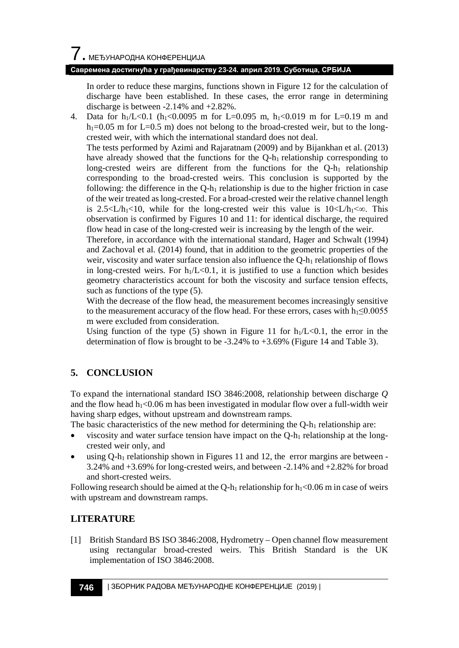In order to reduce these margins, functions shown in Figure 12 for the calculation of discharge have been established. In these cases, the error range in determining discharge is between -2.14% and +2.82%.

4. Data for  $h_1/L < 0.1$  ( $h_1 < 0.0095$  m for L=0.095 m,  $h_1 < 0.019$  m for L=0.19 m and  $h_1=0.05$  m for L=0.5 m) does not belong to the broad-crested weir, but to the longcrested weir, with which the international standard does not deal.

The tests performed by Azimi and Rajaratnam (2009) and by Bijankhan et al. (2013) have already showed that the functions for the Q-h<sub>1</sub> relationship corresponding to long-crested weirs are different from the functions for the  $Q-h_1$  relationship corresponding to the broad-crested weirs. This conclusion is supported by the following: the difference in the  $Q-h_1$  relationship is due to the higher friction in case of the weir treated as long-crested. For a broad-crested weir the relative channel length is 2.5<L/h<sub>1</sub><10, while for the long-crested weir this value is  $10 \lt L/h_1 \ll \infty$ . This observation is confirmed by Figures 10 and 11: for identical discharge, the required flow head in case of the long-crested weir is increasing by the length of the weir.

Therefore, in accordance with the international standard, Hager and Schwalt (1994) and Zachoval et al. (2014) found, that in addition to the geometric properties of the weir, viscosity and water surface tension also influence the Q-h<sub>1</sub> relationship of flows in long-crested weirs. For  $h_1/L < 0.1$ , it is justified to use a function which besides geometry characteristics account for both the viscosity and surface tension effects, such as functions of the type (5).

With the decrease of the flow head, the measurement becomes increasingly sensitive to the measurement accuracy of the flow head. For these errors, cases with  $h_1 \leq 0.0055$ m were excluded from consideration.

Using function of the type (5) shown in Figure 11 for  $h_1/L < 0.1$ , the error in the determination of flow is brought to be -3.24% to +3.69% (Figure 14 and Table 3).

### **5. CONCLUSION**

To expand the international standard ISO 3846:2008, relationship between discharge *Q* and the flow head  $h_1 < 0.06$  m has been investigated in modular flow over a full-width weir having sharp edges, without upstream and downstream ramps.

The basic characteristics of the new method for determining the  $Q-h_1$  relationship are:

- viscosity and water surface tension have impact on the  $Q-h_1$  relationship at the longcrested weir only, and
- using  $Q-h_1$  relationship shown in Figures 11 and 12, the error margins are between -3.24% and +3.69% for long-crested weirs, and between -2.14% and +2.82% for broad and short-crested weirs.

Following research should be aimed at the Q-h<sub>1</sub> relationship for  $h_1 < 0.06$  m in case of weirs with upstream and downstream ramps.

### **LITERATURE**

[1] British Standard BS ISO 3846:2008, Hydrometry – Open channel flow measurement using rectangular broad-crested weirs. This British Standard is the UK implementation of ISO 3846:2008.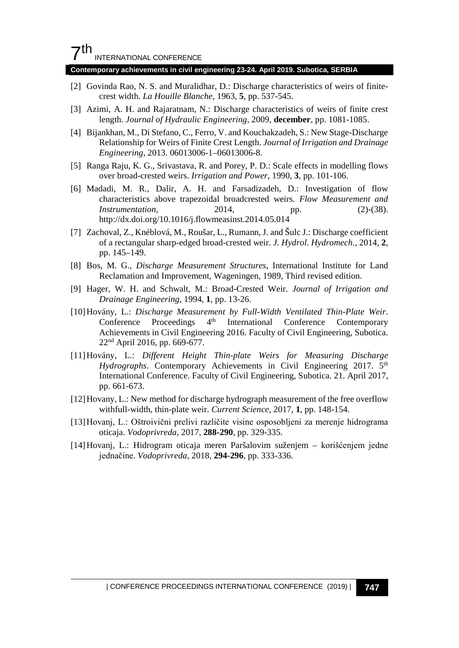#### **Contemporary achievements in civil engineering 23-24. April 2019. Subotica, SERBIA**

- [2] Govinda Rao, N. S. and Muralidhar, D.: Discharge characteristics of weirs of finitecrest width. *La Houille Blanche*, 1963, **5**, pp. 537-545.
- [3] Azimi, A. H. and Rajaratnam, N.: Discharge characteristics of weirs of finite crest length. *Journal of Hydraulic Engineering*, 2009, **december**, pp. 1081-1085.
- [4] Bijankhan, M., Di Stefano, C., Ferro, V. and Kouchakzadeh, S.: New Stage-Discharge Relationship for Weirs of Finite Crest Length. *Journal of Irrigation and Drainage Engineering*, 2013. 06013006-1–06013006-8.
- [5] Ranga Raju, K. G., Srivastava, R. and Porey, P. D.: Scale effects in modelling flows over broad-crested weirs. *Irrigation and Power*, 1990, **3**, pp. 101-106.
- [6] Madadi, M. R., Dalir, A. H. and Farsadizadeh, D.: Investigation of flow characteristics above trapezoidal broadcrested weirs. *Flow Measurement and Instrumentation*, 2014, pp. (2)-(38). http://dx.doi.org/10.1016/j.flowmeasinst.2014.05.014
- [7] Zachoval, Z., Knéblová, M., Roušar, L., Rumann, J. and Šulc J.: Discharge coefficient of a rectangular sharp-edged broad-crested weir. *J. Hydrol. Hydromech.*, 2014, **2**, pp. 145–149.
- [8] Bos, M. G., *Discharge Measurement Structures*, International Institute for Land Reclamation and Improvement, Wageningen, 1989, Third revised edition.
- [9] Hager, W. H. and Schwalt, M.: Broad-Crested Weir. *Journal of Irrigation and Drainage Engineering*, 1994, **1**, pp. 13-26.
- [10]Hovány, L.: *Discharge Measurement by Full-Width Ventilated Thin-Plate Weir*. Conference Proceedings 4<sup>th</sup> International Conference Contemporary Achievements in Civil Engineering 2016. Faculty of Civil Engineering, Subotica. 22nd April 2016, pp. 669-677.
- [11]Hovány, L.: *Different Height Thin-plate Weirs for Measuring Discharge Hydrographs*. Contemporary Achievements in Civil Engineering 2017. 5<sup>th</sup> International Conference. Faculty of Civil Engineering, Subotica. 21. April 2017, pp. 661-673.
- [12]Hovany, L.: New method for discharge hydrograph measurement of the free overflow withfull-width, thin-plate weir. *Current Science*, 2017, **1**, pp. 148-154.
- [13]Hovanj, L.: Oštroivični prelivi različite visine osposobljeni za merenje hidrograma oticaja. *Vodoprivreda*, 2017, **288-290**, pp. 329-335.
- [14]Hovanj, L.: Hidrogram oticaja meren Paršalovim suženjem korišćenjem jedne jednačine. *Vodoprivreda*, 2018, **294-296**, pp. 333-336.